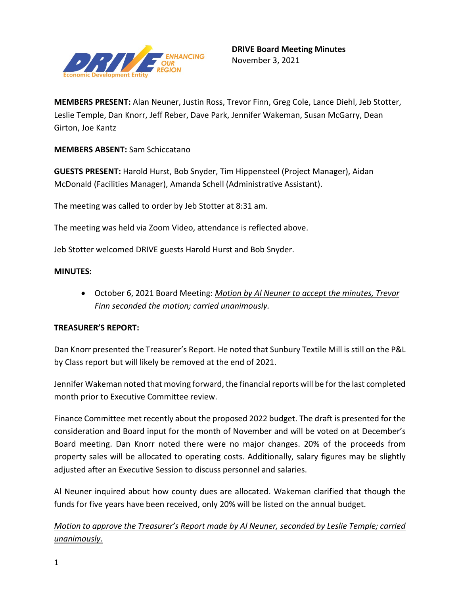

**MEMBERS PRESENT:** Alan Neuner, Justin Ross, Trevor Finn, Greg Cole, Lance Diehl, Jeb Stotter, Leslie Temple, Dan Knorr, Jeff Reber, Dave Park, Jennifer Wakeman, Susan McGarry, Dean Girton, Joe Kantz

**MEMBERS ABSENT:** Sam Schiccatano

**GUESTS PRESENT:** Harold Hurst, Bob Snyder, Tim Hippensteel (Project Manager), Aidan McDonald (Facilities Manager), Amanda Schell (Administrative Assistant).

The meeting was called to order by Jeb Stotter at 8:31 am.

The meeting was held via Zoom Video, attendance is reflected above.

Jeb Stotter welcomed DRIVE guests Harold Hurst and Bob Snyder.

## **MINUTES:**

• October 6, 2021 Board Meeting: *Motion by Al Neuner to accept the minutes, Trevor Finn seconded the motion; carried unanimously.* 

## **TREASURER'S REPORT:**

Dan Knorr presented the Treasurer's Report. He noted that Sunbury Textile Mill is still on the P&L by Class report but will likely be removed at the end of 2021.

Jennifer Wakeman noted that moving forward, the financial reports will be for the last completed month prior to Executive Committee review.

Finance Committee met recently about the proposed 2022 budget. The draft is presented for the consideration and Board input for the month of November and will be voted on at December's Board meeting. Dan Knorr noted there were no major changes. 20% of the proceeds from property sales will be allocated to operating costs. Additionally, salary figures may be slightly adjusted after an Executive Session to discuss personnel and salaries.

Al Neuner inquired about how county dues are allocated. Wakeman clarified that though the funds for five years have been received, only 20% will be listed on the annual budget.

*Motion to approve the Treasurer's Report made by Al Neuner, seconded by Leslie Temple; carried unanimously.*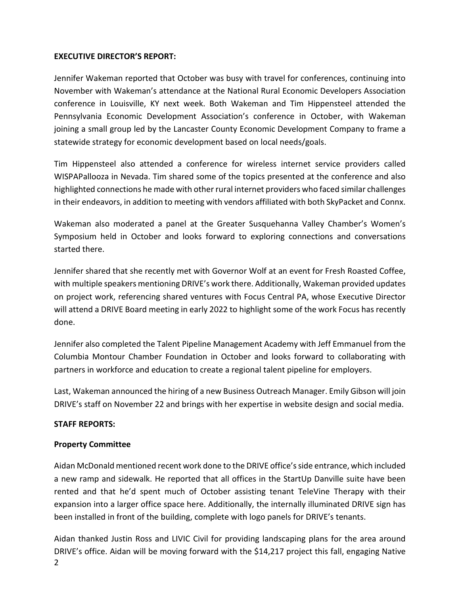## **EXECUTIVE DIRECTOR'S REPORT:**

Jennifer Wakeman reported that October was busy with travel for conferences, continuing into November with Wakeman's attendance at the National Rural Economic Developers Association conference in Louisville, KY next week. Both Wakeman and Tim Hippensteel attended the Pennsylvania Economic Development Association's conference in October, with Wakeman joining a small group led by the Lancaster County Economic Development Company to frame a statewide strategy for economic development based on local needs/goals.

Tim Hippensteel also attended a conference for wireless internet service providers called WISPAPallooza in Nevada. Tim shared some of the topics presented at the conference and also highlighted connections he made with other rural internet providers who faced similar challenges in their endeavors, in addition to meeting with vendors affiliated with both SkyPacket and Connx.

Wakeman also moderated a panel at the Greater Susquehanna Valley Chamber's Women's Symposium held in October and looks forward to exploring connections and conversations started there.

Jennifer shared that she recently met with Governor Wolf at an event for Fresh Roasted Coffee, with multiple speakers mentioning DRIVE's work there. Additionally, Wakeman provided updates on project work, referencing shared ventures with Focus Central PA, whose Executive Director will attend a DRIVE Board meeting in early 2022 to highlight some of the work Focus has recently done.

Jennifer also completed the Talent Pipeline Management Academy with Jeff Emmanuel from the Columbia Montour Chamber Foundation in October and looks forward to collaborating with partners in workforce and education to create a regional talent pipeline for employers.

Last, Wakeman announced the hiring of a new Business Outreach Manager. Emily Gibson will join DRIVE's staff on November 22 and brings with her expertise in website design and social media.

## **STAFF REPORTS:**

# **Property Committee**

Aidan McDonald mentioned recent work done to the DRIVE office's side entrance, which included a new ramp and sidewalk. He reported that all offices in the StartUp Danville suite have been rented and that he'd spent much of October assisting tenant TeleVine Therapy with their expansion into a larger office space here. Additionally, the internally illuminated DRIVE sign has been installed in front of the building, complete with logo panels for DRIVE's tenants.

Aidan thanked Justin Ross and LIVIC Civil for providing landscaping plans for the area around DRIVE's office. Aidan will be moving forward with the \$14,217 project this fall, engaging Native